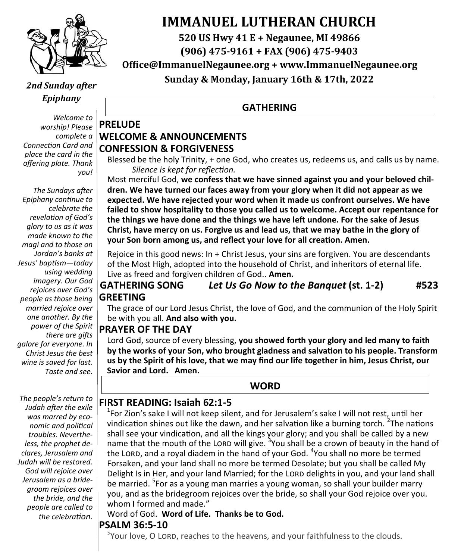

# **IMMANUEL LUTHERAN CHURCH**

**520 US Hwy 41 E + Negaunee, MI 49866**

**(906) 475-9161 + FAX (906) 475-9403**

**Office@ImmanuelNegaunee.org + www.ImmanuelNegaunee.org**

### *2nd Sunday after Epiphany*

*Welcome to worship! Please complete a Connection Card and place the card in the offering plate. Thank you!*

*The Sundays after Epiphany continue to celebrate the revelation of God's glory to us as it was made known to the magi and to those on Jordan's banks at Jesus' baptism—today using wedding imagery. Our God rejoices over God's people as those being married rejoice over one another. By the power of the Spirit there are gifts galore for everyone. In Christ Jesus the best wine is saved for last. Taste and see.*

*The people's return to Judah after the exile was marred by economic and political troubles. Nevertheless, the prophet declares, Jerusalem and Judah will be restored. God will rejoice over Jerusalem as a bridegroom rejoices over the bride, and the people are called to the celebration.*

**Sunday & Monday, January 16th & 17th, 2022**

## **GATHERING**

## **PRELUDE WELCOME & ANNOUNCEMENTS CONFESSION & FORGIVENESS**

Blessed be the holy Trinity, + one God, who creates us, redeems us, and calls us by name. *Silence is kept for reflection.*

Most merciful God, **we confess that we have sinned against you and your beloved children. We have turned our faces away from your glory when it did not appear as we expected. We have rejected your word when it made us confront ourselves. We have failed to show hospitality to those you called us to welcome. Accept our repentance for the things we have done and the things we have left undone. For the sake of Jesus Christ, have mercy on us. Forgive us and lead us, that we may bathe in the glory of your Son born among us, and reflect your love for all creation. Amen.**

Rejoice in this good news: In + Christ Jesus, your sins are forgiven. You are descendants of the Most High, adopted into the household of Christ, and inheritors of eternal life. Live as freed and forgiven children of God.. **Amen.**

### **GATHERING SONG** *Let Us Go Now to the Banquet* **(st. 1-2) #523 GREETING**

The grace of our Lord Jesus Christ, the love of God, and the communion of the Holy Spirit be with you all. **And also with you.**

## **PRAYER OF THE DAY**

Lord God, source of every blessing, **you showed forth your glory and led many to faith by the works of your Son, who brought gladness and salvation to his people. Transform us by the Spirit of his love, that we may find our life together in him, Jesus Christ, our Savior and Lord. Amen.**

### **WORD**

## **FIRST READING: Isaiah 62:1-5**

<sup>1</sup>For Zion's sake I will not keep silent, and for Jerusalem's sake I will not rest, until her vindication shines out like the dawn, and her salvation like a burning torch.  $2$ The nations shall see your vindication, and all the kings your glory; and you shall be called by a new name that the mouth of the LORD will give. <sup>3</sup> You shall be a crown of beauty in the hand of the LORD, and a royal diadem in the hand of your God. <sup>4</sup>You shall no more be termed Forsaken, and your land shall no more be termed Desolate; but you shall be called My Delight Is in Her, and your land Married; for the LORD delights in you, and your land shall be married. <sup>5</sup>For as a young man marries a young woman, so shall your builder marry you, and as the bridegroom rejoices over the bride, so shall your God rejoice over you. whom I formed and made."

#### Word of God. **Word of Life. Thanks be to God.**

## **PSALM 36:5-10**

 $5$ Your love, O LORD, reaches to the heavens, and your faithfulness to the clouds.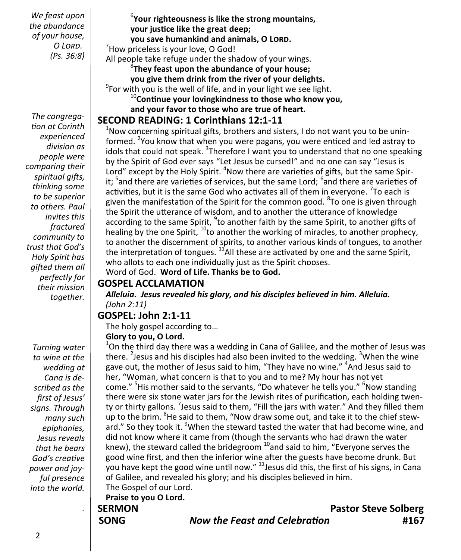*We feast upon the abundance of your house, O Lord. (Ps. 36:8)*

*The congregation at Corinth experienced division as people were comparing their spiritual gifts, thinking some to be superior to others. Paul invites this fractured community to trust that God's Holy Spirit has gifted them all perfectly for their mission together.*

*Turning water to wine at the wedding at Cana is described as the first of Jesus' signs. Through many such epiphanies, Jesus reveals that he bears God's creative power and joyful presence into the world.*

*.*

6 **Your righteousness is like the strong mountains, your justice like the great deep; you save humankind and animals, O Lord.** <sup>7</sup>How priceless is your love, O God! All people take refuge under the shadow of your wings. 8 **They feast upon the abundance of your house; you give them drink from the river of your delights.**  $9$ For with you is the well of life, and in your light we see light.

<sup>10</sup>**Continue your lovingkindness to those who know you, and your favor to those who are true of heart.**

## **SECOND READING: 1 Corinthians 12:1-11**

 $1$ Now concerning spiritual gifts, brothers and sisters, I do not want you to be uninformed. <sup>2</sup>You know that when you were pagans, you were enticed and led astray to idols that could not speak. <sup>3</sup>Therefore I want you to understand that no one speaking by the Spirit of God ever says "Let Jesus be cursed!" and no one can say "Jesus is Lord" except by the Holy Spirit. <sup>4</sup>Now there are varieties of gifts, but the same Spirit; <sup>5</sup>and there are varieties of services, but the same Lord; <sup>6</sup>and there are varieties of activities, but it is the same God who activates all of them in everyone.  $\mathrm{^{7}To}$  each is given the manifestation of the Spirit for the common good. <sup>8</sup>To one is given through the Spirit the utterance of wisdom, and to another the utterance of knowledge according to the same Spirit, <sup>9</sup>to another faith by the same Spirit, to another gifts of healing by the one Spirit,  $^{10}$  to another the working of miracles, to another prophecy, to another the discernment of spirits, to another various kinds of tongues, to another the interpretation of tongues.  $<sup>11</sup>$ All these are activated by one and the same Spirit,</sup> who allots to each one individually just as the Spirit chooses.

Word of God. **Word of Life. Thanks be to God.** 

#### **GOSPEL ACCLAMATION**

*Alleluia. Jesus revealed his glory, and his disciples believed in him. Alleluia. (John 2:11)*

## **GOSPEL: John 2:1-11**

The holy gospel according to…

#### **Glory to you, O Lord.**

 $1$ On the third day there was a wedding in Cana of Galilee, and the mother of Jesus was there. <sup>2</sup> Jesus and his disciples had also been invited to the wedding. <sup>3</sup> When the wine gave out, the mother of Jesus said to him, "They have no wine." <sup>4</sup>And Jesus said to her, "Woman, what concern is that to you and to me? My hour has not yet come." <sup>5</sup>His mother said to the servants, "Do whatever he tells you." <sup>6</sup>Now standing there were six stone water jars for the Jewish rites of purification, each holding twenty or thirty gallons. <sup>7</sup>Jesus said to them, "Fill the jars with water." And they filled them up to the brim. <sup>8</sup>He said to them, "Now draw some out, and take it to the chief steward." So they took it. <sup>9</sup>When the steward tasted the water that had become wine, and did not know where it came from (though the servants who had drawn the water knew), the steward called the bridegroom  $10$  and said to him, "Everyone serves the good wine first, and then the inferior wine after the guests have become drunk. But you have kept the good wine until now." <sup>11</sup>Jesus did this, the first of his signs, in Cana of Galilee, and revealed his glory; and his disciples believed in him. The Gospel of our Lord.

**Praise to you O Lord.**

**SERMON Pastor Steve Solberg SONG** *Now the Feast and Celebration* **#167**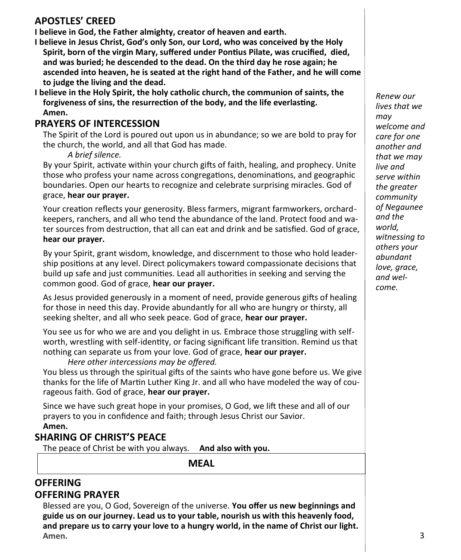## **APOSTLES' CREED**

**I believe in God, the Father almighty, creator of heaven and earth.**

- **I believe in Jesus Christ, God's only Son, our Lord, who was conceived by the Holy Spirit, born of the virgin Mary, suffered under Pontius Pilate, was crucified, died, and was buried; he descended to the dead. On the third day he rose again; he ascended into heaven, he is seated at the right hand of the Father, and he will come to judge the living and the dead.**
- **I believe in the Holy Spirit, the holy catholic church, the communion of saints, the forgiveness of sins, the resurrection of the body, and the life everlasting. Amen.**

#### **PRAYERS OF INTERCESSION**

The Spirit of the Lord is poured out upon us in abundance; so we are bold to pray for the church, the world, and all that God has made.

#### *A brief silence.*

By your Spirit, activate within your church gifts of faith, healing, and prophecy. Unite those who profess your name across congregations, denominations, and geographic boundaries. Open our hearts to recognize and celebrate surprising miracles. God of grace, **hear our prayer.**

Your creation reflects your generosity. Bless farmers, migrant farmworkers, orchardkeepers, ranchers, and all who tend the abundance of the land. Protect food and water sources from destruction, that all can eat and drink and be satisfied. God of grace, **hear our prayer.**

By your Spirit, grant wisdom, knowledge, and discernment to those who hold leadership positions at any level. Direct policymakers toward compassionate decisions that build up safe and just communities. Lead all authorities in seeking and serving the common good. God of grace, **hear our prayer.**

As Jesus provided generously in a moment of need, provide generous gifts of healing for those in need this day. Provide abundantly for all who are hungry or thirsty, all seeking shelter, and all who seek peace. God of grace, **hear our prayer.**

You see us for who we are and you delight in us. Embrace those struggling with selfworth, wrestling with self-identity, or facing significant life transition. Remind us that nothing can separate us from your love. God of grace, **hear our prayer.**

*Here other intercessions may be offered.*  You bless us through the spiritual gifts of the saints who have gone before us. We give thanks for the life of Martin Luther King Jr. and all who have modeled the way of courageous faith. God of grace, **hear our prayer.**

Since we have such great hope in your promises, O God, we lift these and all of our prayers to you in confidence and faith; through Jesus Christ our Savior. **Amen.**

## **SHARING OF CHRIST'S PEACE**

The peace of Christ be with you always. **And also with you.**

**MEAL**

## **OFFERING**

#### **OFFERING PRAYER**

Blessed are you, O God, Sovereign of the universe. **You offer us new beginnings and guide us on our journey. Lead us to your table, nourish us with this heavenly food, and prepare us to carry your love to a hungry world, in the name of Christ our light. Amen.**

*Renew our lives that we may welcome and care for one another and that we may live and serve within the greater community of Negaunee and the world, witnessing to others your abundant love, grace, and welcome.*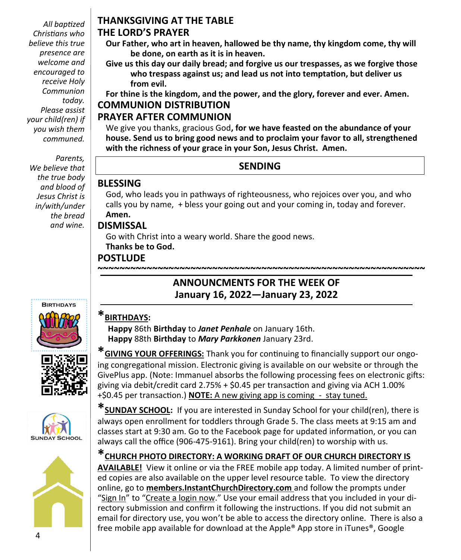*All baptized Christians who believe this true presence are welcome and encouraged to receive Holy Communion today. Please assist your child(ren) if you wish them communed.*

*Parents, We believe that the true body and blood of Jesus Christ is in/with/under the bread and wine.* 

## **THANKSGIVING AT THE TABLE**

#### **THE LORD'S PRAYER**

- **Our Father, who art in heaven, hallowed be thy name, thy kingdom come, thy will be done, on earth as it is in heaven.**
- **Give us this day our daily bread; and forgive us our trespasses, as we forgive those who trespass against us; and lead us not into temptation, but deliver us from evil.**

**For thine is the kingdom, and the power, and the glory, forever and ever. Amen. COMMUNION DISTRIBUTION**

## **PRAYER AFTER COMMUNION**

We give you thanks, gracious God**, for we have feasted on the abundance of your house. Send us to bring good news and to proclaim your favor to all, strengthened with the richness of your grace in your Son, Jesus Christ. Amen.**

## **SENDING**

## **BLESSING**

God, who leads you in pathways of righteousness, who rejoices over you, and who calls you by name, + bless your going out and your coming in, today and forever. **Amen.**

**~~~~~~~~~~~~~~~~~~~~~~~~~~~~~~~~~~~~~~~~~~~~~~~~~~~~~~~~~~~~**

**ANNOUNCMENTS FOR THE WEEK OF January 16, 2022—January 23, 2022**

### **DISMISSAL**

Go with Christ into a weary world. Share the good news. **Thanks be to God.**

## **POSTLUDE**



## **\*BIRTHDAYS:**

 **Happy** 86th **Birthday** to *Janet Penhale* on January 16th. **Happy** 88th **Birthday** to *Mary Parkkonen* January 23rd.







**\*GIVING YOUR OFFERINGS:** Thank you for continuing to financially support our ongoing congregational mission. Electronic giving is available on our website or through the GivePlus app. (Note: Immanuel absorbs the following processing fees on electronic gifts: giving via debit/credit card 2.75% + \$0.45 per transaction and giving via ACH 1.00% +\$0.45 per transaction.) **NOTE:** A new giving app is coming - stay tuned.

**\*SUNDAY SCHOOL:** If you are interested in Sunday School for your child(ren), there is always open enrollment for toddlers through Grade 5. The class meets at 9:15 am and classes start at 9:30 am. Go to the Facebook page for updated information, or you can always call the office (906-475-9161). Bring your child(ren) to worship with us.

# **\*CHURCH PHOTO DIRECTORY: A WORKING DRAFT OF OUR CHURCH DIRECTORY IS**

**AVAILABLE!** View it online or via the FREE mobile app today. A limited number of printed copies are also available on the upper level resource table. To view the directory online, go to **members.InstantChurchDirectory.com** and follow the prompts under "Sign In" to "Create a login now." Use your email address that you included in your directory submission and confirm it following the instructions. If you did not submit an email for directory use, you won't be able to access the directory online. There is also a free mobile app available for download at the Apple® App store in iTunes®, Google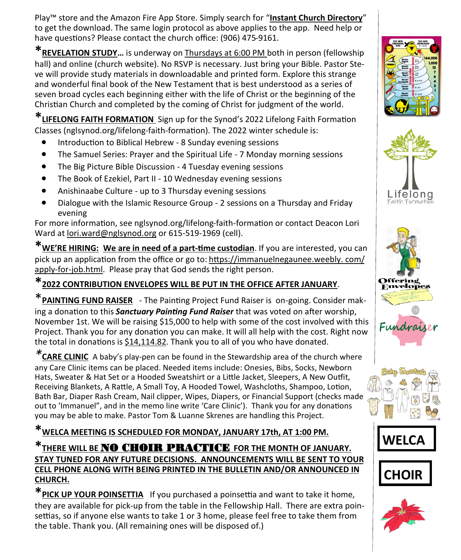Play™ store and the Amazon Fire App Store. Simply search for "**Instant Church Directory**" to get the download. The same login protocol as above applies to the app. Need help or have questions? Please contact the church office: (906) 475-9161.

**\*REVELATION STUDY…** is underway on Thursdays at 6:00 PM both in person (fellowship hall) and online (church website). No RSVP is necessary. Just bring your Bible. Pastor Steve will provide study materials in downloadable and printed form. Explore this strange and wonderful final book of the New Testament that is best understood as a series of seven broad cycles each beginning either with the life of Christ or the beginning of the Christian Church and completed by the coming of Christ for judgment of the world.

**\*LIFELONG FAITH FORMATION** Sign up for the Synod's 2022 Lifelong Faith Formation Classes (nglsynod.org/lifelong-faith-formation). The 2022 winter schedule is:

- Introduction to Biblical Hebrew 8 Sunday evening sessions
- The Samuel Series: Prayer and the Spiritual Life 7 Monday morning sessions
- The Big Picture Bible Discussion 4 Tuesday evening sessions
- The Book of Ezekiel, Part II 10 Wednesday evening sessions
- Anishinaabe Culture up to 3 Thursday evening sessions
- Dialogue with the Islamic Resource Group 2 sessions on a Thursday and Friday evening

For more information, see nglsynod.org/lifelong-faith-formation or contact Deacon Lori Ward at [lori.ward@nglsynod.org](mailto:lori.ward@nglsynod.org) or 615-519-1969 (cell).

**\*WE'RE HIRING: We are in need of a part-time custodian**. If you are interested, you can pick up an application from the office or go to: [https://immanuelnegaunee.weebly. com/](https://immanuelnegaunee.weebly.com/apply-for-job.html) apply-for-[job.html.](https://immanuelnegaunee.weebly.com/apply-for-job.html) Please pray that God sends the right person.

## **\*2022 CONTRIBUTION ENVELOPES WILL BE PUT IN THE OFFICE AFTER JANUARY**.

\***PAINTING FUND RAISER** - The Painting Project Fund Raiser is on-going. Consider making a donation to this *Sanctuary Painting Fund Raiser* that was voted on after worship, November 1st. We will be raising \$15,000 to help with some of the cost involved with this Project. Thank you for any donation you can make. It will all help with the cost. Right now the total in donations is \$14,114.82. Thank you to all of you who have donated.

*\****CARE CLINIC** A baby's play-pen can be found in the Stewardship area of the church where any Care Clinic items can be placed. Needed items include: Onesies, Bibs, Socks, Newborn Hats, Sweater & Hat Set or a Hooded Sweatshirt or a Little Jacket, Sleepers, A New Outfit, Receiving Blankets, A Rattle, A Small Toy, A Hooded Towel, Washcloths, Shampoo, Lotion, Bath Bar, Diaper Rash Cream, Nail clipper, Wipes, Diapers, or Financial Support (checks made out to 'Immanuel", and in the memo line write 'Care Clinic'). Thank you for any donations you may be able to make. Pastor Tom & Luanne Skrenes are handling this Project.

**\*WELCA MEETING IS SCHEDULED FOR MONDAY, JANUARY 17th, AT 1:00 PM.**

**\*THERE WILL BE** NO CHOIR PRACTICE **FOR THE MONTH OF JANUARY. STAY TUNED FOR ANY FUTURE DECISIONS. ANNOUNCEMENTS WILL BE SENT TO YOUR CELL PHONE ALONG WITH BEING PRINTED IN THE BULLETIN AND/OR ANNOUNCED IN CHURCH.** 

**\*PICK UP YOUR POINSETTIA** If you purchased a poinsettia and want to take it home, they are available for pick-up from the table in the Fellowship Hall. There are extra poinsettias, so if anyone else wants to take 1 or 3 home, please feel free to take them from the table. Thank you. (All remaining ones will be disposed of.)













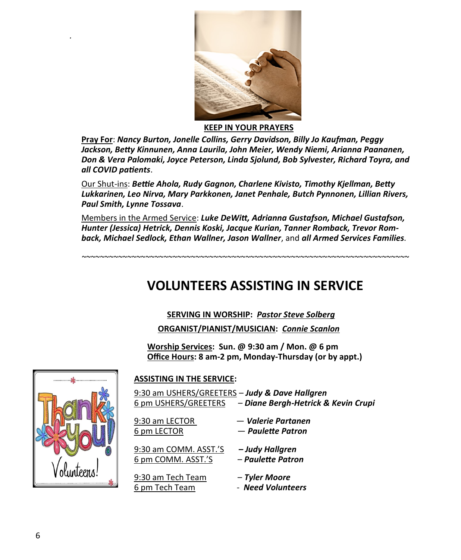

**KEEP IN YOUR PRAYERS**

**Pray For**: *Nancy Burton, Jonelle Collins, Gerry Davidson, Billy Jo Kaufman, Peggy Jackson, Betty Kinnunen, Anna Laurila, John Meier, Wendy Niemi, Arianna Paananen, Don & Vera Palomaki, Joyce Peterson, Linda Sjolund, Bob Sylvester, Richard Toyra, and all COVID patients*.

Our Shut-ins: *Bettie Ahola, Rudy Gagnon, Charlene Kivisto, Timothy Kjellman, Betty Lukkarinen, Leo Nirva, Mary Parkkonen, Janet Penhale, Butch Pynnonen, Lillian Rivers, Paul Smith, Lynne Tossava*.

Members in the Armed Service: *Luke DeWitt, Adrianna Gustafson, Michael Gustafson, Hunter (Jessica) Hetrick, Dennis Koski, Jacque Kurian, Tanner Romback, Trevor Romback, Michael Sedlock, Ethan Wallner, Jason Wallner*, and *all Armed Services Families.*

*~~~~~~~~~~~~~~~~~~~~~~~~~~~~~~~~~~~~~~~~~~~~~~~~~~~~~~~~~~~~~~~~~~~~~~~~*

## **VOLUNTEERS ASSISTING IN SERVICE**

## **SERVING IN WORSHIP:** *Pastor Steve Solberg*

**ORGANIST/PIANIST/MUSICIAN:** *Connie Scanlon* 

**Worship Services: Sun. @ 9:30 am / Mon. @ 6 pm Office Hours: 8 am-2 pm, Monday-Thursday (or by appt.)**



*.*

#### **ASSISTING IN THE SERVICE:**

9:30 am USHERS/GREETERS – *Judy & Dave Hallgren* 6 pm USHERS/GREETERS – *Diane Bergh-Hetrick & Kevin Crupi*

| 9:30 am LECTOR                              | — Valerie Partanen                   |
|---------------------------------------------|--------------------------------------|
| 6 pm LECTOR                                 | - Paulette Patron                    |
| 9:30 am COMM. ASST.'S<br>6 pm COMM. ASST.'S | - Judy Hallgren<br>- Paulette Patron |
| 9:30 am Tech Team                           | – Tyler Moore                        |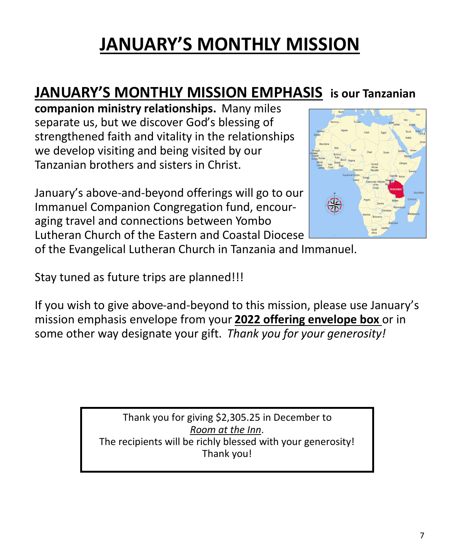# **JANUARY'S MONTHLY MISSION**

# **JANUARY'S MONTHLY MISSION EMPHASIS is our Tanzanian**

**companion ministry relationships.** Many miles separate us, but we discover God's blessing of strengthened faith and vitality in the relationships we develop visiting and being visited by our Tanzanian brothers and sisters in Christ.

January's above-and-beyond offerings will go to our Immanuel Companion Congregation fund, encouraging travel and connections between Yombo Lutheran Church of the Eastern and Coastal Diocese



of the Evangelical Lutheran Church in Tanzania and Immanuel.

Stay tuned as future trips are planned!!!

If you wish to give above-and-beyond to this mission, please use January's mission emphasis envelope from your **2022 offering envelope box** or in some other way designate your gift. *Thank you for your generosity!* 

> Thank you for giving \$2,305.25 in December to *Room at the Inn*. The recipients will be richly blessed with your generosity! Thank you!